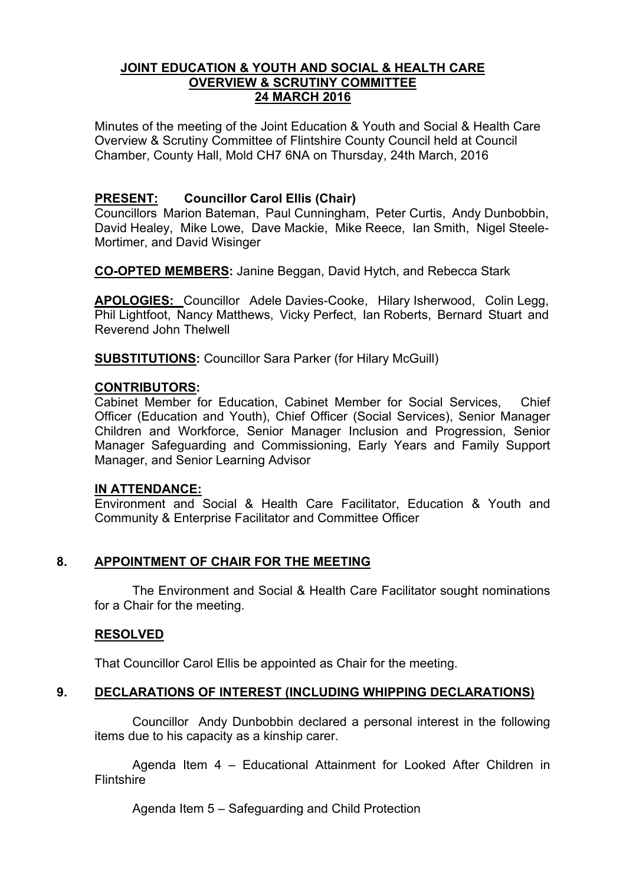#### **JOINT EDUCATION & YOUTH AND SOCIAL & HEALTH CARE OVERVIEW & SCRUTINY COMMITTEE 24 MARCH 2016**

Minutes of the meeting of the Joint Education & Youth and Social & Health Care Overview & Scrutiny Committee of Flintshire County Council held at Council Chamber, County Hall, Mold CH7 6NA on Thursday, 24th March, 2016

# **PRESENT: Councillor Carol Ellis (Chair)**

Councillors Marion Bateman, Paul Cunningham, Peter Curtis, Andy Dunbobbin, David Healey, Mike Lowe, Dave Mackie, Mike Reece, Ian Smith, Nigel Steele-Mortimer, and David Wisinger

**CO-OPTED MEMBERS:** Janine Beggan, David Hytch, and Rebecca Stark

**APOLOGIES:** Councillor Adele Davies-Cooke, Hilary Isherwood, Colin Legg, Phil Lightfoot, Nancy Matthews, Vicky Perfect, Ian Roberts, Bernard Stuart and Reverend John Thelwell

**SUBSTITUTIONS:** Councillor Sara Parker (for Hilary McGuill)

## **CONTRIBUTORS:**

Cabinet Member for Education, Cabinet Member for Social Services, Chief Officer (Education and Youth), Chief Officer (Social Services), Senior Manager Children and Workforce, Senior Manager Inclusion and Progression, Senior Manager Safeguarding and Commissioning, Early Years and Family Support Manager, and Senior Learning Advisor

## **IN ATTENDANCE:**

Environment and Social & Health Care Facilitator, Education & Youth and Community & Enterprise Facilitator and Committee Officer

## **8. APPOINTMENT OF CHAIR FOR THE MEETING**

The Environment and Social & Health Care Facilitator sought nominations for a Chair for the meeting.

## **RESOLVED**

That Councillor Carol Ellis be appointed as Chair for the meeting.

## **9. DECLARATIONS OF INTEREST (INCLUDING WHIPPING DECLARATIONS)**

Councillor Andy Dunbobbin declared a personal interest in the following items due to his capacity as a kinship carer.

Agenda Item 4 – Educational Attainment for Looked After Children in Flintshire

Agenda Item 5 – Safeguarding and Child Protection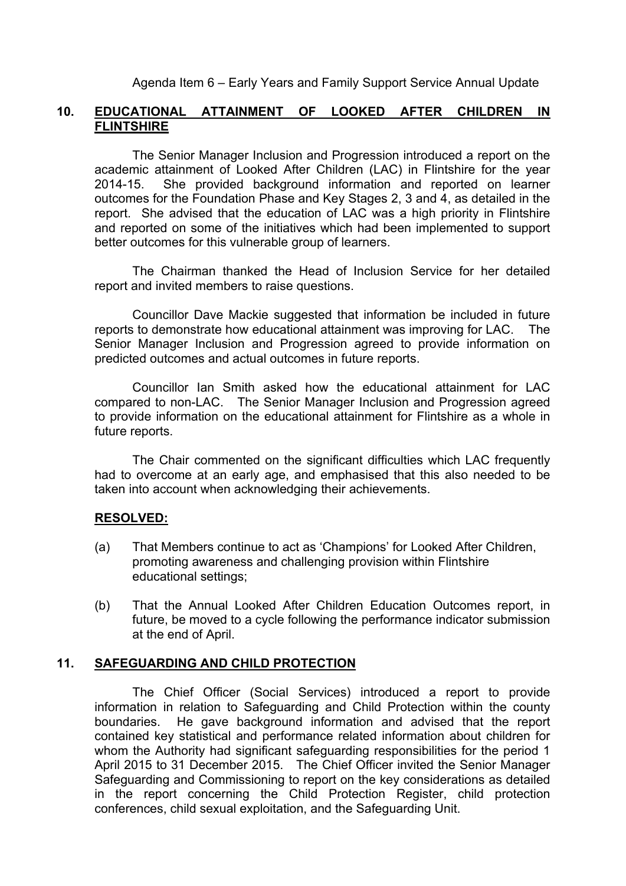Agenda Item 6 – Early Years and Family Support Service Annual Update

## **10. EDUCATIONAL ATTAINMENT OF LOOKED AFTER CHILDREN IN FLINTSHIRE**

The Senior Manager Inclusion and Progression introduced a report on the academic attainment of Looked After Children (LAC) in Flintshire for the year 2014-15. She provided background information and reported on learner outcomes for the Foundation Phase and Key Stages 2, 3 and 4, as detailed in the report. She advised that the education of LAC was a high priority in Flintshire and reported on some of the initiatives which had been implemented to support better outcomes for this vulnerable group of learners.

The Chairman thanked the Head of Inclusion Service for her detailed report and invited members to raise questions.

Councillor Dave Mackie suggested that information be included in future reports to demonstrate how educational attainment was improving for LAC. The Senior Manager Inclusion and Progression agreed to provide information on predicted outcomes and actual outcomes in future reports.

Councillor Ian Smith asked how the educational attainment for LAC compared to non-LAC. The Senior Manager Inclusion and Progression agreed to provide information on the educational attainment for Flintshire as a whole in future reports.

The Chair commented on the significant difficulties which LAC frequently had to overcome at an early age, and emphasised that this also needed to be taken into account when acknowledging their achievements.

## **RESOLVED:**

- (a) That Members continue to act as 'Champions' for Looked After Children, promoting awareness and challenging provision within Flintshire educational settings;
- (b) That the Annual Looked After Children Education Outcomes report, in future, be moved to a cycle following the performance indicator submission at the end of April.

#### **11. SAFEGUARDING AND CHILD PROTECTION**

The Chief Officer (Social Services) introduced a report to provide information in relation to Safeguarding and Child Protection within the county boundaries. He gave background information and advised that the report contained key statistical and performance related information about children for whom the Authority had significant safeguarding responsibilities for the period 1 April 2015 to 31 December 2015. The Chief Officer invited the Senior Manager Safeguarding and Commissioning to report on the key considerations as detailed in the report concerning the Child Protection Register, child protection conferences, child sexual exploitation, and the Safeguarding Unit.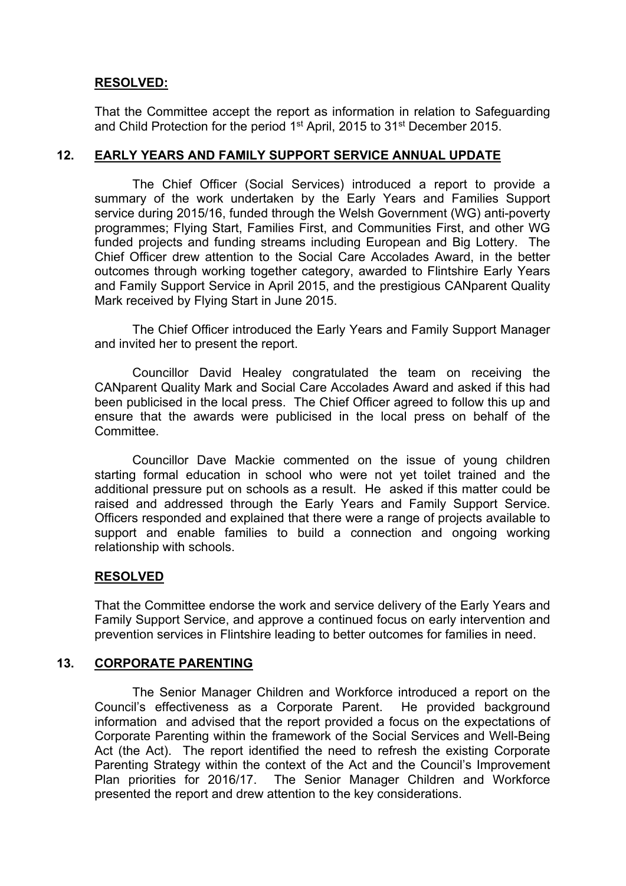# **RESOLVED:**

That the Committee accept the report as information in relation to Safeguarding and Child Protection for the period 1<sup>st</sup> April, 2015 to 31<sup>st</sup> December 2015.

#### **12. EARLY YEARS AND FAMILY SUPPORT SERVICE ANNUAL UPDATE**

The Chief Officer (Social Services) introduced a report to provide a summary of the work undertaken by the Early Years and Families Support service during 2015/16, funded through the Welsh Government (WG) anti-poverty programmes; Flying Start, Families First, and Communities First, and other WG funded projects and funding streams including European and Big Lottery. The Chief Officer drew attention to the Social Care Accolades Award, in the better outcomes through working together category, awarded to Flintshire Early Years and Family Support Service in April 2015, and the prestigious CANparent Quality Mark received by Flying Start in June 2015.

The Chief Officer introduced the Early Years and Family Support Manager and invited her to present the report.

Councillor David Healey congratulated the team on receiving the CANparent Quality Mark and Social Care Accolades Award and asked if this had been publicised in the local press. The Chief Officer agreed to follow this up and ensure that the awards were publicised in the local press on behalf of the Committee.

Councillor Dave Mackie commented on the issue of young children starting formal education in school who were not yet toilet trained and the additional pressure put on schools as a result. He asked if this matter could be raised and addressed through the Early Years and Family Support Service. Officers responded and explained that there were a range of projects available to support and enable families to build a connection and ongoing working relationship with schools.

## **RESOLVED**

That the Committee endorse the work and service delivery of the Early Years and Family Support Service, and approve a continued focus on early intervention and prevention services in Flintshire leading to better outcomes for families in need.

#### **13. CORPORATE PARENTING**

The Senior Manager Children and Workforce introduced a report on the Council's effectiveness as a Corporate Parent. He provided background information and advised that the report provided a focus on the expectations of Corporate Parenting within the framework of the Social Services and Well-Being Act (the Act). The report identified the need to refresh the existing Corporate Parenting Strategy within the context of the Act and the Council's Improvement Plan priorities for 2016/17. The Senior Manager Children and Workforce presented the report and drew attention to the key considerations.